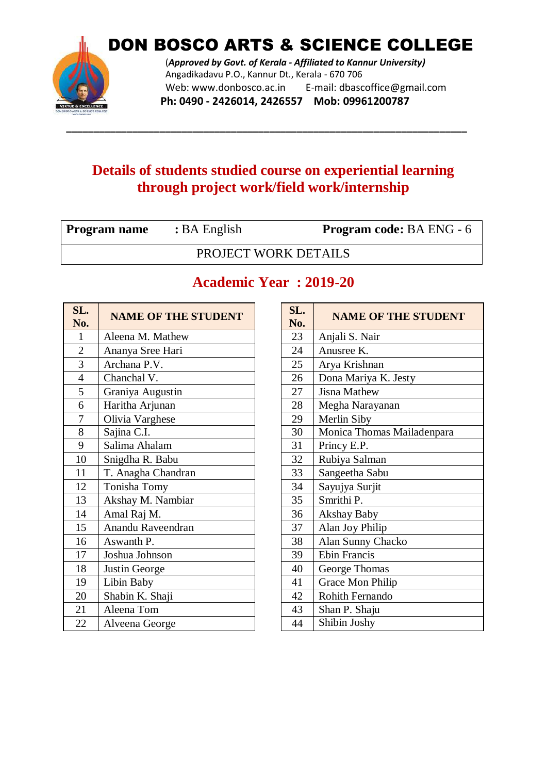

DON BOSCO ARTS & SCIENCE COLLEGE

(*Approved by Govt. of Kerala - Affiliated to Kannur University)* Angadikadavu P.O., Kannur Dt., Kerala - 670 706 Web: www.donbosco.ac.in E-mail: dbascoffice@gmail.com **Ph: 0490 - 2426014, 2426557 Mob: 09961200787**

#### **Details of students studied course on experiential learning through project work/field work/internship**

**\_\_\_\_\_\_\_\_\_\_\_\_\_\_\_\_\_\_\_\_\_\_\_\_\_\_\_\_\_\_\_\_\_\_\_\_\_\_\_\_\_\_\_\_\_\_\_\_\_\_\_\_\_\_\_\_\_\_\_\_\_\_\_\_\_\_\_\_\_\_\_\_\_**

| <b>Program name</b> | $B\rightarrow$ English | <b>Program code: BA ENG - 6</b> |
|---------------------|------------------------|---------------------------------|
|                     | PROJECT WORK DETAILS   |                                 |

| <b>NAME OF THE STUDENT</b> |  | <b>NAME OF THE STUDE!</b>                                                                                                                      |
|----------------------------|--|------------------------------------------------------------------------------------------------------------------------------------------------|
| Aleena M. Mathew           |  | Anjali S. Nair                                                                                                                                 |
| Ananya Sree Hari           |  | Anusree K.                                                                                                                                     |
| Archana P.V.               |  | Arya Krishnan                                                                                                                                  |
| Chanchal V.                |  | Dona Mariya K. Jesty                                                                                                                           |
| Graniya Augustin           |  | <b>Jisna Mathew</b>                                                                                                                            |
| Haritha Arjunan            |  | Megha Narayanan                                                                                                                                |
| Olivia Varghese            |  | Merlin Siby                                                                                                                                    |
| Sajina C.I.                |  | Monica Thomas Mailadenpara                                                                                                                     |
| Salima Ahalam              |  | Princy E.P.                                                                                                                                    |
| Snigdha R. Babu            |  | Rubiya Salman                                                                                                                                  |
| T. Anagha Chandran         |  | Sangeetha Sabu                                                                                                                                 |
| Tonisha Tomy               |  | Sayujya Surjit                                                                                                                                 |
| Akshay M. Nambiar          |  | Smrithi P.                                                                                                                                     |
| Amal Raj M.                |  | <b>Akshay Baby</b>                                                                                                                             |
| Anandu Raveendran          |  | Alan Joy Philip                                                                                                                                |
| Aswanth P.                 |  | Alan Sunny Chacko                                                                                                                              |
| Joshua Johnson             |  | <b>Ebin Francis</b>                                                                                                                            |
| Justin George              |  | George Thomas                                                                                                                                  |
| Libin Baby                 |  | Grace Mon Philip                                                                                                                               |
| Shabin K. Shaji            |  | Rohith Fernando                                                                                                                                |
| Aleena Tom                 |  | Shan P. Shaju                                                                                                                                  |
| Alveena George             |  | Shibin Joshy                                                                                                                                   |
|                            |  | SL.<br>No.<br>23<br>24<br>25<br>26<br>27<br>28<br>29<br>30<br>31<br>32<br>33<br>34<br>35<br>36<br>37<br>38<br>39<br>40<br>41<br>42<br>43<br>44 |

#### **Academic Year : 2019-20**

| SL.<br>No. | <b>NAME OF THE STUDENT</b> |
|------------|----------------------------|
| 23         | Anjali S. Nair             |
| 24         | Anusree K.                 |
| 25         | Arya Krishnan              |
| 26         | Dona Mariya K. Jesty       |
| 27         | <b>Jisna Mathew</b>        |
| 28         | Megha Narayanan            |
| 29         | Merlin Siby                |
| 30         | Monica Thomas Mailadenpara |
| 31         | Princy E.P.                |
| 32         | Rubiya Salman              |
| 33         | Sangeetha Sabu             |
| 34         | Sayujya Surjit             |
| 35         | Smrithi P.                 |
| 36         | Akshay Baby                |
| 37         | Alan Joy Philip            |
| 38         | Alan Sunny Chacko          |
| 39         | <b>Ebin Francis</b>        |
| 40         | George Thomas              |
| 41         | <b>Grace Mon Philip</b>    |
| 42         | <b>Rohith Fernando</b>     |
| 43         | Shan P. Shaju              |
| 44         | Shibin Joshy               |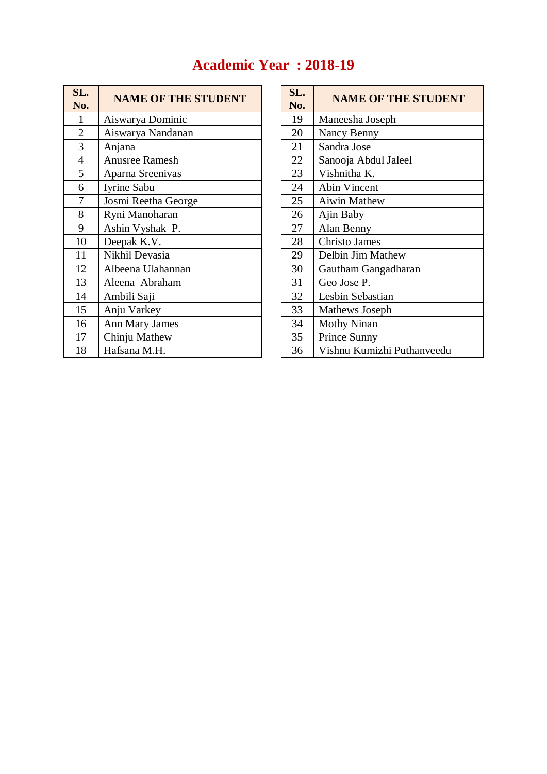#### **Academic Year : 2018-19**

| SL.<br>No.     | <b>NAME OF THE STUDENT</b> | SL.<br>No. | <b>NAME OF THE STUDE</b>   |
|----------------|----------------------------|------------|----------------------------|
| 1              | Aiswarya Dominic           | 19         | Maneesha Joseph            |
| $\overline{2}$ | Aiswarya Nandanan          | 20         | Nancy Benny                |
| 3              | Anjana                     | 21         | Sandra Jose                |
| $\overline{4}$ | Anusree Ramesh             | 22         | Sanooja Abdul Jaleel       |
| 5              | Aparna Sreenivas           | 23         | Vishnitha K.               |
| 6              | Iyrine Sabu                | 24         | <b>Abin Vincent</b>        |
| 7              | Josmi Reetha George        | 25         | Aiwin Mathew               |
| 8              | Ryni Manoharan             | 26         | Ajin Baby                  |
| 9              | Ashin Vyshak P.            | 27         | Alan Benny                 |
| 10             | Deepak K.V.                | 28         | <b>Christo James</b>       |
| 11             | Nikhil Devasia             | 29         | Delbin Jim Mathew          |
| 12             | Albeena Ulahannan          | 30         | Gautham Gangadharan        |
| 13             | Aleena Abraham             | 31         | Geo Jose P.                |
| 14             | Ambili Saji                | 32         | Lesbin Sebastian           |
| 15             | Anju Varkey                | 33         | Mathews Joseph             |
| 16             | <b>Ann Mary James</b>      | 34         | <b>Mothy Ninan</b>         |
| 17             | Chinju Mathew              | 35         | Prince Sunny               |
| 18             | Hafsana M.H.               | 36         | Vishnu Kumizhi Puthanveedu |

| SL.<br>No. | <b>NAME OF THE STUDENT</b> |
|------------|----------------------------|
| 19         | Maneesha Joseph            |
| 20         | Nancy Benny                |
| 21         | Sandra Jose                |
| 22         | Sanooja Abdul Jaleel       |
| 23         | Vishnitha K.               |
| 24         | Abin Vincent               |
| 25         | <b>Aiwin Mathew</b>        |
| 26         | Ajin Baby                  |
| 27         | Alan Benny                 |
| 28         | <b>Christo James</b>       |
| 29         | Delbin Jim Mathew          |
| 30         | Gautham Gangadharan        |
| 31         | Geo Jose P.                |
| 32         | Lesbin Sebastian           |
| 33         | Mathews Joseph             |
| 34         | <b>Mothy Ninan</b>         |
| 35         | Prince Sunny               |
| 36         | Vishnu Kumizhi Puthanveedu |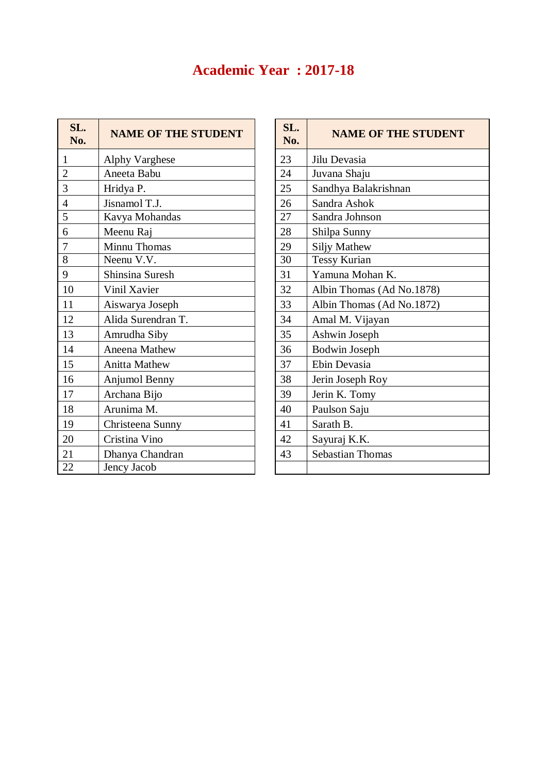# **Academic Year : 2017-18**

| SL.<br>No.     | <b>NAME OF THE STUDENT</b> | SL.<br>No. | <b>NAME OF THE STUD</b>   |
|----------------|----------------------------|------------|---------------------------|
| $\mathbf{1}$   | <b>Alphy Varghese</b>      | 23         | Jilu Devasia              |
| $\overline{2}$ | Aneeta Babu                | 24         | Juvana Shaju              |
| 3              | Hridya P.                  | 25         | Sandhya Balakrishnan      |
| $\overline{4}$ | Jisnamol T.J.              | 26         | Sandra Ashok              |
| 5              | Kavya Mohandas             | 27         | Sandra Johnson            |
| 6              | Meenu Raj                  | 28         | Shilpa Sunny              |
| 7              | Minnu Thomas               | 29         | <b>Siljy Mathew</b>       |
| 8              | Neenu V.V.                 | 30         | <b>Tessy Kurian</b>       |
| 9              | Shinsina Suresh            | 31         | Yamuna Mohan K.           |
| 10             | Vinil Xavier               | 32         | Albin Thomas (Ad No.1878) |
| 11             | Aiswarya Joseph            | 33         | Albin Thomas (Ad No.1872) |
| 12             | Alida Surendran T.         | 34         | Amal M. Vijayan           |
| 13             | Amrudha Siby               | 35         | Ashwin Joseph             |
| 14             | Aneena Mathew              | 36         | <b>Bodwin Joseph</b>      |
| 15             | <b>Anitta Mathew</b>       | 37         | Ebin Devasia              |
| 16             | Anjumol Benny              | 38         | Jerin Joseph Roy          |
| 17             | Archana Bijo               | 39         | Jerin K. Tomy             |
| 18             | Arunima M.                 | 40         | Paulson Saju              |
| 19             | Christeena Sunny           | 41         | Sarath B.                 |
| 20             | Cristina Vino              | 42         | Sayuraj K.K.              |
| 21             | Dhanya Chandran            | 43         | <b>Sebastian Thomas</b>   |
| 22             | Jency Jacob                |            |                           |

| SL.<br>No. | <b>NAME OF THE STUDENT</b> |
|------------|----------------------------|
| 23         | Jilu Devasia               |
| 24         | Juvana Shaju               |
| 25         | Sandhya Balakrishnan       |
| 26         | Sandra Ashok               |
| 27         | Sandra Johnson             |
| 28         | Shilpa Sunny               |
| 29         | <b>Siljy Mathew</b>        |
| 30         | <b>Tessy Kurian</b>        |
| 31         | Yamuna Mohan K.            |
| 32         | Albin Thomas (Ad No.1878)  |
| 33         | Albin Thomas (Ad No.1872)  |
| 34         | Amal M. Vijayan            |
| 35         | Ashwin Joseph              |
| 36         | <b>Bodwin Joseph</b>       |
| 37         | Ebin Devasia               |
| 38         | Jerin Joseph Roy           |
| 39         | Jerin K. Tomy              |
| 40         | Paulson Saju               |
| 41         | Sarath B.                  |
| 42         | Sayuraj K.K.               |
| 43         | <b>Sebastian Thomas</b>    |
|            |                            |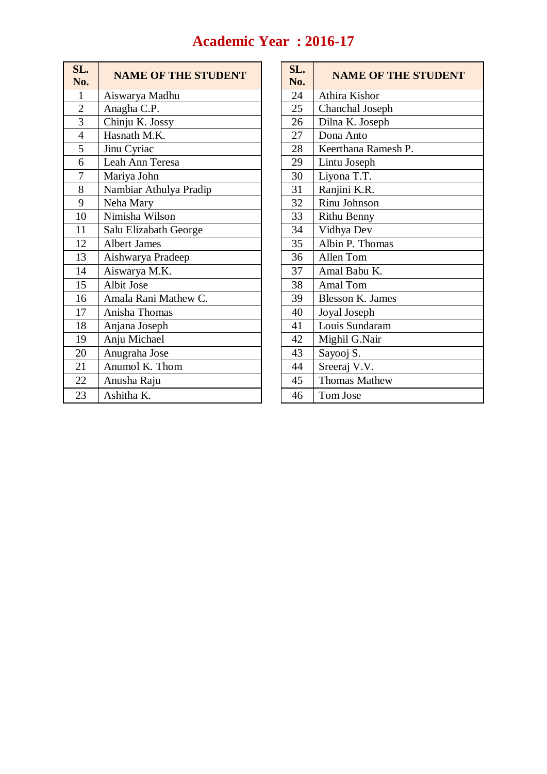# **Academic Year : 2016-17**

| SL.<br>No.     | <b>NAME OF THE STUDENT</b> | SL.<br>No. | <b>NAME OF THE</b>      |
|----------------|----------------------------|------------|-------------------------|
| 1              | Aiswarya Madhu             | 24         | Athira Kishor           |
| $\overline{2}$ | Anagha C.P.                | 25         | Chanchal Joseph         |
| $\overline{3}$ | Chinju K. Jossy            | 26         | Dilna K. Joseph         |
| $\overline{4}$ | Hasnath M.K.               | 27         | Dona Anto               |
| 5              | Jinu Cyriac                | 28         | Keerthana Ramesh P.     |
| 6              | Leah Ann Teresa            | 29         | Lintu Joseph            |
| 7              | Mariya John                | 30         | Liyona T.T.             |
| 8              | Nambiar Athulya Pradip     | 31         | Ranjini K.R.            |
| 9              | Neha Mary                  | 32         | Rinu Johnson            |
| 10             | Nimisha Wilson             | 33         | <b>Rithu Benny</b>      |
| 11             | Salu Elizabath George      | 34         | Vidhya Dev              |
| 12             | <b>Albert James</b>        | 35         | Albin P. Thomas         |
| 13             | Aishwarya Pradeep          | 36         | Allen Tom               |
| 14             | Aiswarya M.K.              | 37         | Amal Babu K.            |
| 15             | Albit Jose                 | 38         | Amal Tom                |
| 16             | Amala Rani Mathew C.       | 39         | <b>Blesson K. James</b> |
| 17             | Anisha Thomas              | 40         | Joyal Joseph            |
| 18             | Anjana Joseph              | 41         | Louis Sundaram          |
| 19             | Anju Michael               | 42         | Mighil G.Nair           |
| 20             | Anugraha Jose              | 43         | Sayooj S.               |
| 21             | Anumol K. Thom             | 44         | Sreeraj V.V.            |
| 22             | Anusha Raju                | 45         | <b>Thomas Mathew</b>    |
| 23             | Ashitha K.                 | 46         | Tom Jose                |

| SL.<br>No. | <b>NAME OF THE STUDENT</b> |
|------------|----------------------------|
| 24         | Athira Kishor              |
| 25         | Chanchal Joseph            |
| 26         | Dilna K. Joseph            |
| 27         | Dona Anto                  |
| 28         | Keerthana Ramesh P.        |
| 29         | Lintu Joseph               |
| 30         | Liyona T.T.                |
| 31         | Ranjini K.R.               |
| 32         | Rinu Johnson               |
| 33         | <b>Rithu Benny</b>         |
| 34         | Vidhya Dev                 |
| 35         | Albin P. Thomas            |
| 36         | Allen Tom                  |
| 37         | Amal Babu K.               |
| 38         | Amal Tom                   |
| 39         | <b>Blesson K. James</b>    |
| 40         | Joyal Joseph               |
| 41         | Louis Sundaram             |
| 42         | Mighil G.Nair              |
| 43         | Sayooj S.                  |
| 44         | Sreeraj V.V.               |
| 45         | <b>Thomas Mathew</b>       |
| 46         | Tom Jose                   |